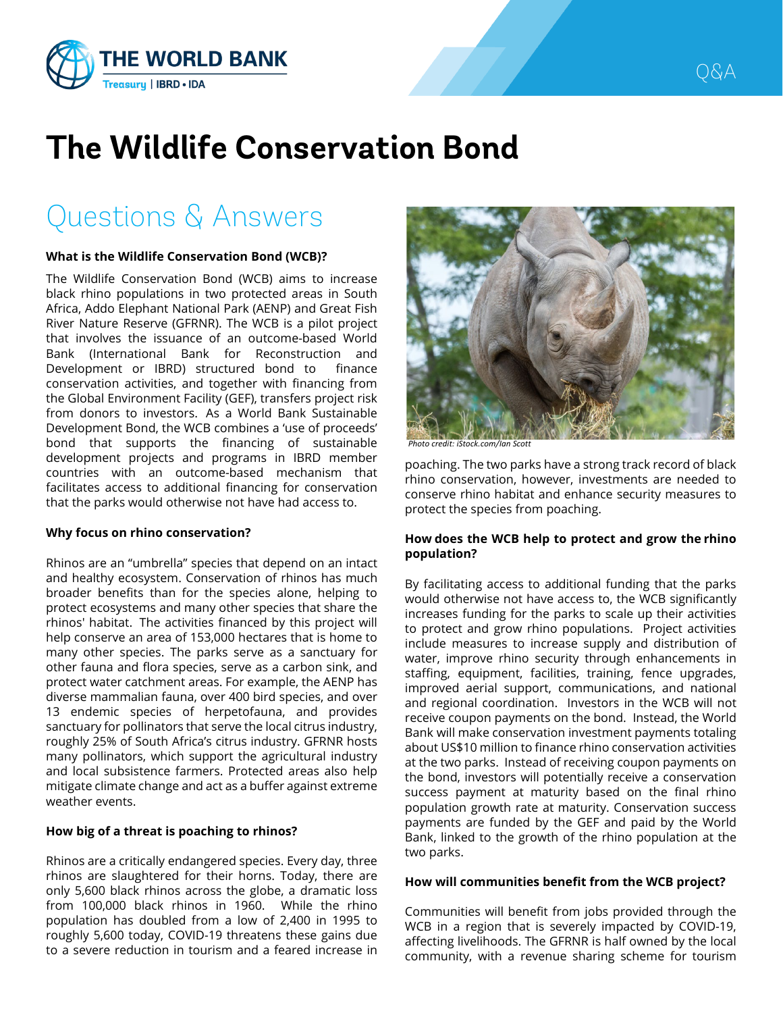

# **The Wildlife Conservation Bond**

## Questions & Answers

#### **What is the Wildlife Conservation Bond (WCB)?**

The Wildlife Conservation Bond (WCB) aims to increase black rhino populations in two protected areas in South Africa, Addo Elephant National Park (AENP) and Great Fish River Nature Reserve (GFRNR). The WCB is a pilot project that involves the issuance of an outcome-based World Bank (International Bank for Reconstruction and Development or IBRD) structured bond to finance conservation activities, and together with financing from the Global Environment Facility (GEF), transfers project risk from donors to investors. As a World Bank Sustainable Development Bond, the WCB combines a 'use of proceeds' bond that supports the financing of sustainable development projects and programs in IBRD member countries with an outcome-based mechanism that facilitates access to additional financing for conservation that the parks would otherwise not have had access to.

#### **Why focus on rhino conservation?**

Rhinos are an "umbrella" species that depend on an intact and healthy ecosystem. Conservation of rhinos has much broader benefits than for the species alone, helping to protect ecosystems and many other species that share the rhinos' habitat. The activities financed by this project will help conserve an area of 153,000 hectares that is home to many other species. The parks serve as a sanctuary for other fauna and flora species, serve as a carbon sink, and protect water catchment areas. For example, the AENP has diverse mammalian fauna, over 400 bird species, and over 13 endemic species of herpetofauna, and provides sanctuary for pollinators that serve the local citrus industry, roughly 25% of South Africa's citrus industry. GFRNR hosts many pollinators, which support the agricultural industry and local subsistence farmers. Protected areas also help mitigate climate change and act as a buffer against extreme weather events.

#### **How big of a threat is poaching to rhinos?**

Rhinos are a critically endangered species. Every day, three rhinos are slaughtered for their horns. Today, there are only 5,600 black rhinos across the globe, a dramatic loss from 100,000 black rhinos in 1960. While the rhino population has doubled from a low of 2,400 in 1995 to roughly 5,600 today, COVID-19 threatens these gains due to a severe reduction in tourism and a feared increase in



*Photo credit: iStock.com/Ian Scott*

poaching. The two parks have a strong track record of black rhino conservation, however, investments are needed to conserve rhino habitat and enhance security measures to protect the species from poaching.

#### **How does the WCB help to protect and grow the rhino population?**

By facilitating access to additional funding that the parks would otherwise not have access to, the WCB significantly increases funding for the parks to scale up their activities to protect and grow rhino populations. Project activities include measures to increase supply and distribution of water, improve rhino security through enhancements in staffing, equipment, facilities, training, fence upgrades, improved aerial support, communications, and national and regional coordination. Investors in the WCB will not receive coupon payments on the bond. Instead, the World Bank will make conservation investment payments totaling about US\$10 million to finance rhino conservation activities at the two parks. Instead of receiving coupon payments on the bond, investors will potentially receive a conservation success payment at maturity based on the final rhino population growth rate at maturity. Conservation success payments are funded by the GEF and paid by the World Bank, linked to the growth of the rhino population at the two parks.

#### **How will communities benefit from the WCB project?**

Communities will benefit from jobs provided through the WCB in a region that is severely impacted by COVID-19, affecting livelihoods. The GFRNR is half owned by the local community, with a revenue sharing scheme for tourism